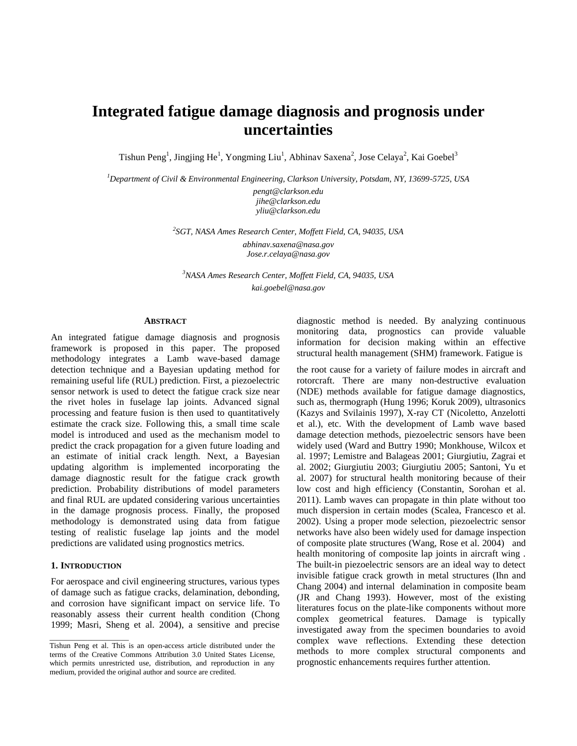# **Integrated fatigue damage diagnosis and prognosis under uncertainties**

Tishun Peng<sup>1</sup>, Jingjing He<sup>1</sup>, Yongming Liu<sup>1</sup>, Abhinav Saxena<sup>2</sup>, Jose Celaya<sup>2</sup>, Kai Goebel<sup>3</sup>

*<sup>1</sup>Department of Civil & Environmental Engineering, Clarkson University, Potsdam, NY, 13699-5725, USA*

*[pengt@clarkson.edu](mailto:pengt@clarkson.edu) [jihe@clarkson.edu](mailto:jihe@clarkson.edu) [yliu@clarkson.edu](mailto:yliu@clarkson.edu)*

*2 SGT, NASA Ames Research Center, Moffett Field, CA, 94035, USA [abhinav.saxena@nasa.gov](mailto:abhinav.saxena@nasa.gove) Jose.r.celaya@nasa.gov*

*<sup>3</sup>NASA Ames Research Center, Moffett Field, CA, 94035, USA kai.goebel@nasa.gov*

#### **ABSTRACT**

An integrated fatigue damage diagnosis and prognosis framework is proposed in this paper. The proposed methodology integrates a Lamb wave-based damage detection technique and a Bayesian updating method for remaining useful life (RUL) prediction. First, a piezoelectric sensor network is used to detect the fatigue crack size near the rivet holes in fuselage lap joints. Advanced signal processing and feature fusion is then used to quantitatively estimate the crack size. Following this, a small time scale model is introduced and used as the mechanism model to predict the crack propagation for a given future loading and an estimate of initial crack length. Next, a Bayesian updating algorithm is implemented incorporating the damage diagnostic result for the fatigue crack growth prediction. Probability distributions of model parameters and final RUL are updated considering various uncertainties in the damage prognosis process. Finally, the proposed methodology is demonstrated using data from fatigue testing of realistic fuselage lap joints and the model predictions are validated using prognostics metrics.

#### **1. INTRODUCTION**

\_\_\_\_\_\_\_\_\_\_\_\_\_\_\_\_\_\_\_\_\_

For aerospace and civil engineering structures, various types of damage such as fatigue cracks, delamination, debonding, and corrosion have significant impact on service life. To reasonably assess their current health condition [\(Chong](#page--1-0)  [1999;](#page--1-0) [Masri, Sheng et al. 2004\)](#page--1-1), a sensitive and precise diagnostic method is needed. By analyzing continuous monitoring data, prognostics can provide valuable information for decision making within an effective structural health management (SHM) framework. Fatigue is

the root cause for a variety of failure modes in aircraft and rotorcraft. There are many non-destructive evaluation (NDE) methods available for fatigue damage diagnostics, such as, thermograph [\(Hung 1996;](#page--1-2) [Koruk 2009\)](#page--1-3), ultrasonics [\(Kazys and Svilainis 1997\)](#page--1-4), X-ray CT [\(Nicoletto, Anzelotti](#page--1-5)  [et al.\)](#page--1-5), etc. With the development of Lamb wave based damage detection methods, piezoelectric sensors have been widely used [\(Ward and Buttry 1990;](#page--1-6) [Monkhouse, Wilcox et](#page--1-7)  [al. 1997;](#page--1-7) [Lemistre and Balageas 2001;](#page--1-8) [Giurgiutiu, Zagrai et](#page--1-9)  [al. 2002;](#page--1-9) [Giurgiutiu 2003;](#page--1-10) [Giurgiutiu 2005;](#page--1-11) [Santoni, Yu et](#page--1-12)  [al. 2007\)](#page--1-12) for structural health monitoring because of their low cost and high efficiency [\(Constantin, Sorohan et al.](#page--1-13)  [2011\)](#page--1-13). Lamb waves can propagate in thin plate without too much dispersion in certain modes [\(Scalea, Francesco et al.](#page--1-14)  [2002\)](#page--1-14). Using a proper mode selection, piezoelectric sensor networks have also been widely used for damage inspection of composite plate structures [\(Wang, Rose et al. 2004\)](#page--1-15) and health monitoring of composite lap joints in aircraft wing . The built-in piezoelectric sensors are an ideal way to detect invisible fatigue crack growth in metal structures [\(Ihn and](#page--1-16)  [Chang 2004\)](#page--1-16) and internal delamination in composite beam [\(JR and Chang 1993\)](#page--1-2). However, most of the existing literatures focus on the plate-like components without more complex geometrical features. Damage is typically investigated away from the specimen boundaries to avoid complex wave reflections. Extending these detection methods to more complex structural components and prognostic enhancements requires further attention.

Tishun Peng et al. This is an open-access article distributed under the terms of the Creative Commons Attribution 3.0 United States License, which permits unrestricted use, distribution, and reproduction in any medium, provided the original author and source are credited.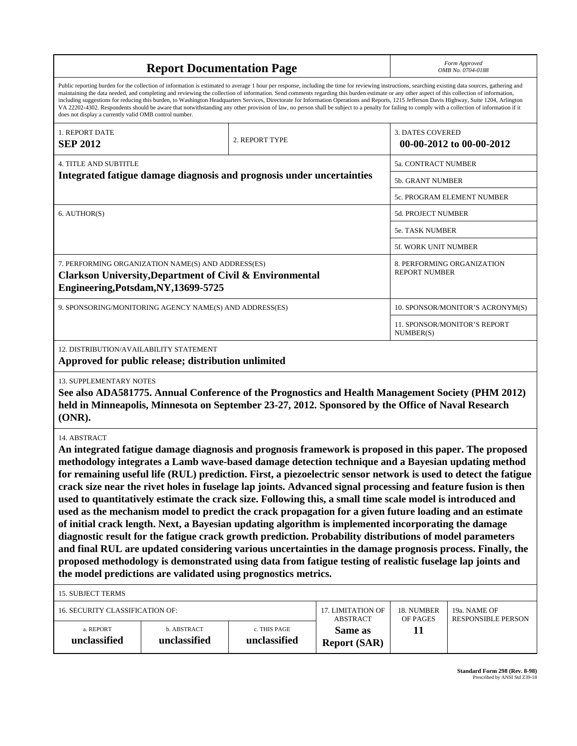| <b>Report Documentation Page</b>                                                                                                                                                                                                                                                                                                                                                                                                                                                                                                                                                                                                                                                                                                                                                                                                                                                                                                                                                                                                                                                                                                                                                                                                      |                                                     |                              |                                |                                                  | Form Approved<br>OMB No. 0704-0188 |  |
|---------------------------------------------------------------------------------------------------------------------------------------------------------------------------------------------------------------------------------------------------------------------------------------------------------------------------------------------------------------------------------------------------------------------------------------------------------------------------------------------------------------------------------------------------------------------------------------------------------------------------------------------------------------------------------------------------------------------------------------------------------------------------------------------------------------------------------------------------------------------------------------------------------------------------------------------------------------------------------------------------------------------------------------------------------------------------------------------------------------------------------------------------------------------------------------------------------------------------------------|-----------------------------------------------------|------------------------------|--------------------------------|--------------------------------------------------|------------------------------------|--|
| Public reporting burden for the collection of information is estimated to average 1 hour per response, including the time for reviewing instructions, searching existing data sources, gathering and<br>maintaining the data needed, and completing and reviewing the collection of information. Send comments regarding this burden estimate or any other aspect of this collection of information,<br>including suggestions for reducing this burden, to Washington Headquarters Services, Directorate for Information Operations and Reports, 1215 Jefferson Davis Highway, Suite 1204, Arlington<br>VA 22202-4302. Respondents should be aware that notwithstanding any other provision of law, no person shall be subject to a penalty for failing to comply with a collection of information if it<br>does not display a currently valid OMB control number.                                                                                                                                                                                                                                                                                                                                                                    |                                                     |                              |                                |                                                  |                                    |  |
| 1. REPORT DATE<br>2. REPORT TYPE<br><b>SEP 2012</b>                                                                                                                                                                                                                                                                                                                                                                                                                                                                                                                                                                                                                                                                                                                                                                                                                                                                                                                                                                                                                                                                                                                                                                                   |                                                     |                              |                                | <b>3. DATES COVERED</b>                          | 00-00-2012 to 00-00-2012           |  |
| <b>4. TITLE AND SUBTITLE</b>                                                                                                                                                                                                                                                                                                                                                                                                                                                                                                                                                                                                                                                                                                                                                                                                                                                                                                                                                                                                                                                                                                                                                                                                          |                                                     |                              |                                | 5a. CONTRACT NUMBER                              |                                    |  |
| Integrated fatigue damage diagnosis and prognosis under uncertainties                                                                                                                                                                                                                                                                                                                                                                                                                                                                                                                                                                                                                                                                                                                                                                                                                                                                                                                                                                                                                                                                                                                                                                 |                                                     |                              |                                | 5b. GRANT NUMBER                                 |                                    |  |
|                                                                                                                                                                                                                                                                                                                                                                                                                                                                                                                                                                                                                                                                                                                                                                                                                                                                                                                                                                                                                                                                                                                                                                                                                                       |                                                     |                              |                                |                                                  | 5c. PROGRAM ELEMENT NUMBER         |  |
| 6. AUTHOR(S)                                                                                                                                                                                                                                                                                                                                                                                                                                                                                                                                                                                                                                                                                                                                                                                                                                                                                                                                                                                                                                                                                                                                                                                                                          |                                                     |                              |                                | <b>5d. PROJECT NUMBER</b>                        |                                    |  |
|                                                                                                                                                                                                                                                                                                                                                                                                                                                                                                                                                                                                                                                                                                                                                                                                                                                                                                                                                                                                                                                                                                                                                                                                                                       |                                                     |                              |                                | 5e. TASK NUMBER                                  |                                    |  |
|                                                                                                                                                                                                                                                                                                                                                                                                                                                                                                                                                                                                                                                                                                                                                                                                                                                                                                                                                                                                                                                                                                                                                                                                                                       |                                                     |                              |                                | 5f. WORK UNIT NUMBER                             |                                    |  |
| 7. PERFORMING ORGANIZATION NAME(S) AND ADDRESS(ES)<br>8. PERFORMING ORGANIZATION<br><b>REPORT NUMBER</b><br><b>Clarkson University, Department of Civil &amp; Environmental</b><br>Engineering, Potsdam, NY, 13699-5725                                                                                                                                                                                                                                                                                                                                                                                                                                                                                                                                                                                                                                                                                                                                                                                                                                                                                                                                                                                                               |                                                     |                              |                                |                                                  |                                    |  |
| 9. SPONSORING/MONITORING AGENCY NAME(S) AND ADDRESS(ES)                                                                                                                                                                                                                                                                                                                                                                                                                                                                                                                                                                                                                                                                                                                                                                                                                                                                                                                                                                                                                                                                                                                                                                               |                                                     |                              |                                | 10. SPONSOR/MONITOR'S ACRONYM(S)                 |                                    |  |
|                                                                                                                                                                                                                                                                                                                                                                                                                                                                                                                                                                                                                                                                                                                                                                                                                                                                                                                                                                                                                                                                                                                                                                                                                                       |                                                     |                              |                                | <b>11. SPONSOR/MONITOR'S REPORT</b><br>NUMBER(S) |                                    |  |
| 12. DISTRIBUTION/AVAILABILITY STATEMENT                                                                                                                                                                                                                                                                                                                                                                                                                                                                                                                                                                                                                                                                                                                                                                                                                                                                                                                                                                                                                                                                                                                                                                                               | Approved for public release; distribution unlimited |                              |                                |                                                  |                                    |  |
| <b>13. SUPPLEMENTARY NOTES</b><br>See also ADA581775. Annual Conference of the Prognostics and Health Management Society (PHM 2012)<br>held in Minneapolis, Minnesota on September 23-27, 2012. Sponsored by the Office of Naval Research<br>(ONR).                                                                                                                                                                                                                                                                                                                                                                                                                                                                                                                                                                                                                                                                                                                                                                                                                                                                                                                                                                                   |                                                     |                              |                                |                                                  |                                    |  |
| 14. ABSTRACT<br>An integrated fatigue damage diagnosis and prognosis framework is proposed in this paper. The proposed<br>methodology integrates a Lamb wave-based damage detection technique and a Bayesian updating method<br>for remaining useful life (RUL) prediction. First, a piezoelectric sensor network is used to detect the fatigue<br>crack size near the rivet holes in fuselage lap joints. Advanced signal processing and feature fusion is then<br>used to quantitatively estimate the crack size. Following this, a small time scale model is introduced and<br>used as the mechanism model to predict the crack propagation for a given future loading and an estimate<br>of initial crack length. Next, a Bayesian updating algorithm is implemented incorporating the damage<br>diagnostic result for the fatigue crack growth prediction. Probability distributions of model parameters<br>and final RUL are updated considering various uncertainties in the damage prognosis process. Finally, the<br>proposed methodology is demonstrated using data from fatigue testing of realistic fuselage lap joints and<br>the model predictions are validated using prognostics metrics.<br><b>15. SUBJECT TERMS</b> |                                                     |                              |                                |                                                  |                                    |  |
| 16. SECURITY CLASSIFICATION OF:<br>17. LIMITATION OF<br>18. NUMBER<br>19a. NAME OF<br>ABSTRACT<br>OF PAGES                                                                                                                                                                                                                                                                                                                                                                                                                                                                                                                                                                                                                                                                                                                                                                                                                                                                                                                                                                                                                                                                                                                            |                                                     |                              | <b>RESPONSIBLE PERSON</b>      |                                                  |                                    |  |
| a. REPORT<br>unclassified                                                                                                                                                                                                                                                                                                                                                                                                                                                                                                                                                                                                                                                                                                                                                                                                                                                                                                                                                                                                                                                                                                                                                                                                             | b. ABSTRACT<br>unclassified                         | c. THIS PAGE<br>unclassified | Same as<br><b>Report (SAR)</b> | 11                                               |                                    |  |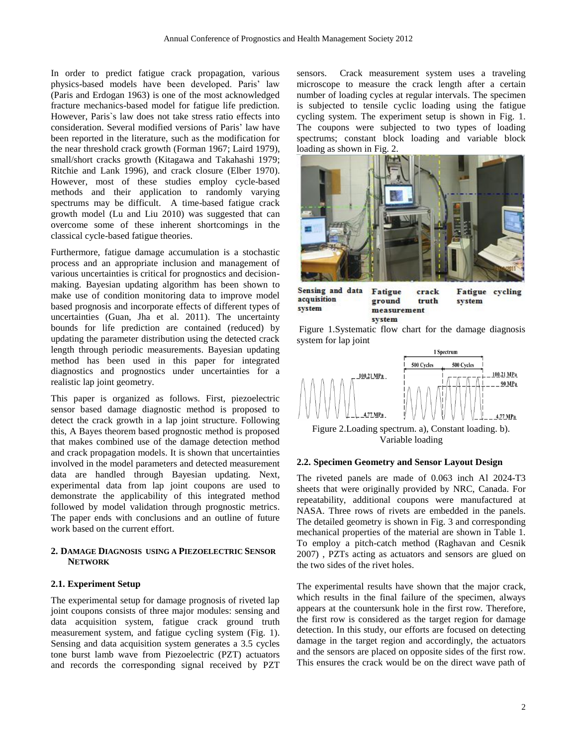In order to predict fatigue crack propagation, various physics-based models have been developed. Paris' law [\(Paris and Erdogan 1963\)](#page-10-0) is one of the most acknowledged fracture mechanics-based model for fatigue life prediction. However, Paris`s law does not take stress ratio effects into consideration. Several modified versions of Paris' law have been reported in the literature, such as the modification for the near threshold crack growth [\(Forman 1967;](#page-9-0) [Laird 1979\)](#page-10-1), small/short cracks growth [\(Kitagawa and Takahashi 1979;](#page-9-1) [Ritchie and Lank 1996\)](#page-10-2), and crack closure [\(Elber 1970\)](#page-9-2). However, most of these studies employ cycle-based methods and their application to randomly varying spectrums may be difficult. A time-based fatigue crack growth model [\(Lu and Liu 2010\)](#page-10-3) was suggested that can overcome some of these inherent shortcomings in the classical cycle-based fatigue theories.

Furthermore, fatigue damage accumulation is a stochastic process and an appropriate inclusion and management of various uncertainties is critical for prognostics and decisionmaking. Bayesian updating algorithm has been shown to make use of condition monitoring data to improve model based prognosis and incorporate effects of different types of uncertainties [\(Guan, Jha et al. 2011\)](#page-9-3). The uncertainty bounds for life prediction are contained (reduced) by updating the parameter distribution using the detected crack length through periodic measurements. Bayesian updating method has been used in this paper for integrated diagnostics and prognostics under uncertainties for a realistic lap joint geometry.

This paper is organized as follows. First, piezoelectric sensor based damage diagnostic method is proposed to detect the crack growth in a lap joint structure. Following this, A Bayes theorem based prognostic method is proposed that makes combined use of the damage detection method and crack propagation models. It is shown that uncertainties involved in the model parameters and detected measurement data are handled through Bayesian updating. Next, experimental data from lap joint coupons are used to demonstrate the applicability of this integrated method followed by model validation through prognostic metrics. The paper ends with conclusions and an outline of future work based on the current effort.

## **2. DAMAGE DIAGNOSIS USING A PIEZOELECTRIC SENSOR NETWORK**

# **2.1. Experiment Setup**

The experimental setup for damage prognosis of riveted lap joint coupons consists of three major modules: sensing and data acquisition system, fatigue crack ground truth measurement system, and fatigue cycling system (Fig. 1). Sensing and data acquisition system generates a 3.5 cycles tone burst lamb wave from Piezoelectric (PZT) actuators and records the corresponding signal received by PZT

sensors. Crack measurement system uses a traveling microscope to measure the crack length after a certain number of loading cycles at regular intervals. The specimen is subjected to tensile cyclic loading using the fatigue cycling system. The experiment setup is shown in Fig. 1. The coupons were subjected to two types of loading spectrums; constant block loading and variable block loading as shown in Fig. 2.



Sensing and data acquisition system

crack truth measurement

Fatigue cycling system

Figure 1.Systematic flow chart for the damage diagnosis system for lap joint

Fatigue

ground

system



Figure 2.Loading spectrum. a), Constant loading. b). Variable loading

## **2.2. Specimen Geometry and Sensor Layout Design**

The riveted panels are made of 0.063 inch Al 2024-T3 sheets that were originally provided by NRC, Canada. For repeatability, additional coupons were manufactured at NASA. Three rows of rivets are embedded in the panels. The detailed geometry is shown in Fig. 3 and corresponding mechanical properties of the material are shown in Table 1. To employ a pitch-catch method [\(Raghavan and Cesnik](#page-10-4)  [2007\)](#page-10-4) , PZTs acting as actuators and sensors are glued on the two sides of the rivet holes.

The experimental results have shown that the major crack, which results in the final failure of the specimen, always appears at the countersunk hole in the first row. Therefore, the first row is considered as the target region for damage detection. In this study, our efforts are focused on detecting damage in the target region and accordingly, the actuators and the sensors are placed on opposite sides of the first row. This ensures the crack would be on the direct wave path of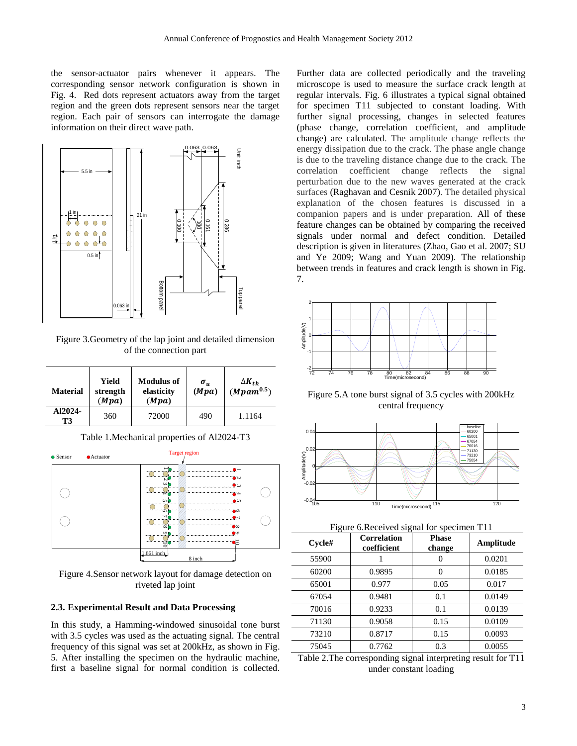the sensor-actuator pairs whenever it appears. The corresponding sensor network configuration is shown in Fig. 4. Red dots represent actuators away from the target region and the green dots represent sensors near the target region. Each pair of sensors can interrogate the damage information on their direct wave path.



Figure 3.Geometry of the lap joint and detailed dimension of the connection part

| <b>Material</b> | Yield<br>strength<br>(Mpa) | <b>Modulus of</b><br>elasticity<br>(Mpa) | $\sigma_u$<br>(Mpa) | $\Delta K_{th}$<br>$(Mpam^{0.5})$ |
|-----------------|----------------------------|------------------------------------------|---------------------|-----------------------------------|
| A12024-<br>Т3   | 360                        | 72000                                    | 490                 | 1.1164                            |

Table 1.Mechanical properties of Al2024-T3



Figure 4.Sensor network layout for damage detection on riveted lap joint

# **2.3. Experimental Result and Data Processing**

In this study, a Hamming-windowed sinusoidal tone burst with 3.5 cycles was used as the actuating signal. The central frequency of this signal was set at 200kHz, as shown in Fig. 5. After installing the specimen on the hydraulic machine, first a baseline signal for normal condition is collected. Further data are collected periodically and the traveling microscope is used to measure the surface crack length at regular intervals. Fig. 6 illustrates a typical signal obtained for specimen T11 subjected to constant loading. With further signal processing, changes in selected features (phase change, correlation coefficient, and amplitude change) are calculated. The amplitude change reflects the energy dissipation due to the crack. The phase angle change is due to the traveling distance change due to the crack. The correlation coefficient change reflects the signal perturbation due to the new waves generated at the crack surfaces [\(Raghavan and Cesnik 2007\)](#page-10-4). The detailed physical explanation of the chosen features is discussed in a companion papers and is under preparation. All of these feature changes can be obtained by comparing the received signals under normal and defect condition. Detailed description is given in literatures [\(Zhao, Gao et al. 2007;](#page-10-5) [SU](#page-10-6)  [and Ye 2009;](#page-10-6) [Wang and Yuan 2009\)](#page-10-7). The relationship between trends in features and crack length is shown in Fig. 7.



Figure 5.A tone burst signal of 3.5 cycles with 200kHz central frequency



Figure 6.Received signal for specimen T11

| $C$ ycle# | <b>Correlation</b><br>coefficient | <b>Phase</b><br>change | Amplitude |
|-----------|-----------------------------------|------------------------|-----------|
| 55900     |                                   |                        | 0.0201    |
| 60200     | 0.9895                            |                        | 0.0185    |
| 65001     | 0.977                             | 0.05                   | 0.017     |
| 67054     | 0.9481                            | 0.1                    | 0.0149    |
| 70016     | 0.9233                            | 0.1                    | 0.0139    |
| 71130     | 0.9058                            | 0.15                   | 0.0109    |
| 73210     | 0.8717                            | 0.15                   | 0.0093    |
| 75045     | 0.7762                            | 0.3                    | 0.0055    |

Table 2.The corresponding signal interpreting result for T11 under constant loading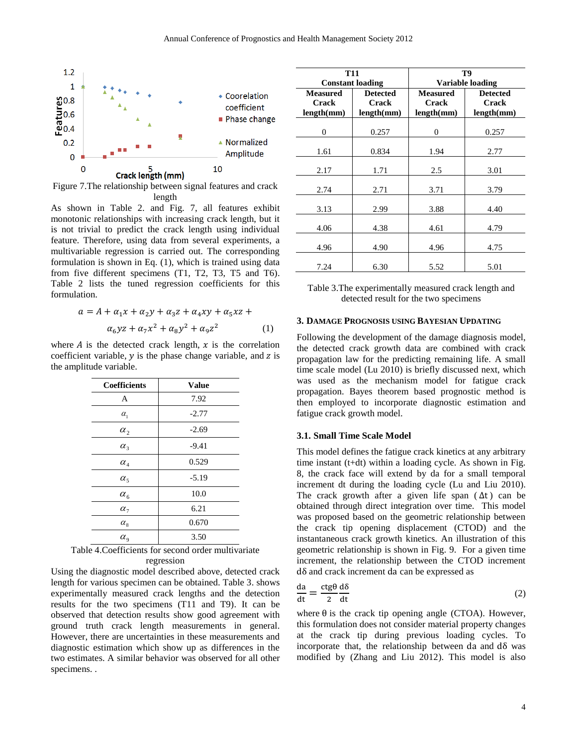

Figure 7.The relationship between signal features and crack length

As shown in Table 2. and Fig. 7, all features exhibit monotonic relationships with increasing crack length, but it is not trivial to predict the crack length using individual feature. Therefore, using data from several experiments, a multivariable regression is carried out. The corresponding formulation is shown in Eq. (1), which is trained using data from five different specimens (T1, T2, T3, T5 and T6). Table 2 lists the tuned regression coefficients for this formulation.

$$
a = A + \alpha_1 x + \alpha_2 y + \alpha_3 z + \alpha_4 xy + \alpha_5 xz +
$$
  
 
$$
\alpha_6 yz + \alpha_7 x^2 + \alpha_8 y^2 + \alpha_9 z^2 \qquad (1)
$$

where  $\vec{A}$  is the detected crack length,  $\vec{x}$  is the correlation coefficient variable,  $y$  is the phase change variable, and z is the amplitude variable.

| <b>Coefficients</b>             | <b>Value</b> |
|---------------------------------|--------------|
| A                               | 7.92         |
| $\alpha_{1}$                    | $-2.77$      |
| $\alpha_{\scriptscriptstyle 2}$ | $-2.69$      |
| $\alpha_{3}$                    | $-9.41$      |
| $\alpha_{\scriptscriptstyle 4}$ | 0.529        |
| $\alpha_{5}$                    | $-5.19$      |
| $\alpha_{\epsilon}$             | 10.0         |
| $\alpha_{7}$                    | 6.21         |
| $\alpha_{\rm s}$                | 0.670        |
| $\alpha_{9}$                    | 3.50         |

| Table 4. Coefficients for second order multivariate |  |
|-----------------------------------------------------|--|
| regression                                          |  |

Using the diagnostic model described above, detected crack length for various specimen can be obtained. Table 3. shows experimentally measured crack lengths and the detection results for the two specimens (T11 and T9). It can be observed that detection results show good agreement with ground truth crack length measurements in general. However, there are uncertainties in these measurements and diagnostic estimation which show up as differences in the two estimates. A similar behavior was observed for all other specimens. .

|                 | <b>T11</b>              | T9               |                 |  |
|-----------------|-------------------------|------------------|-----------------|--|
|                 | <b>Constant loading</b> | Variable loading |                 |  |
| <b>Measured</b> | <b>Detected</b>         | <b>Measured</b>  | <b>Detected</b> |  |
| Crack           | <b>Crack</b>            | Crack            | <b>Crack</b>    |  |
| length(mm)      | length(mm)              | length(mm)       | length(mm)      |  |
| $\theta$        | 0.257                   | 0                | 0.257           |  |
| 1.61            | 0.834                   | 1.94             | 2.77            |  |
| 2.17            | 1.71                    | 2.5              | 3.01            |  |
| 2.74            | 2.71                    | 3.71             | 3.79            |  |
| 3.13            | 2.99                    | 3.88             | 4.40            |  |
| 4.06            | 4.38                    | 4.61             | 4.79            |  |
| 4.96            | 4.90                    | 4.96             | 4.75            |  |
| 7.24            | 6.30                    | 5.52             | 5.01            |  |

| Table 3. The experimentally measured crack length and |
|-------------------------------------------------------|
| detected result for the two specimens                 |

## **3. DAMAGE PROGNOSIS USING BAYESIAN UPDATING**

Following the development of the damage diagnosis model, the detected crack growth data are combined with crack propagation law for the predicting remaining life. A small time scale model [\(Lu 2010\)](#page-10-8) is briefly discussed next, which was used as the mechanism model for fatigue crack propagation. Bayes theorem based prognostic method is then employed to incorporate diagnostic estimation and fatigue crack growth model.

#### **3.1. Small Time Scale Model**

This model defines the fatigue crack kinetics at any arbitrary time instant (t+dt) within a loading cycle. As shown in Fig. 8, the crack face will extend by da for a small temporal increment dt during the loading cycle [\(Lu and Liu 2010\)](#page-10-3). The crack growth after a given life span  $(\Delta t)$  can be obtained through direct integration over time. This model was proposed based on the geometric relationship between the crack tip opening displacement (CTOD) and the instantaneous crack growth kinetics. An illustration of this geometric relationship is shown in Fig. 9. For a given time increment, the relationship between the CTOD increment  $d\delta$  and crack increment da can be expressed as

$$
\frac{da}{dt} = \frac{ctg\theta}{2}\frac{d\delta}{dt}
$$
 (2)

where  $\theta$  is the crack tip opening angle (CTOA). However, this formulation does not consider material property changes at the crack tip during previous loading cycles. To incorporate that, the relationship between da and  $d\delta$  was modified by [\(Zhang and Liu 2012\)](#page-10-9). This model is also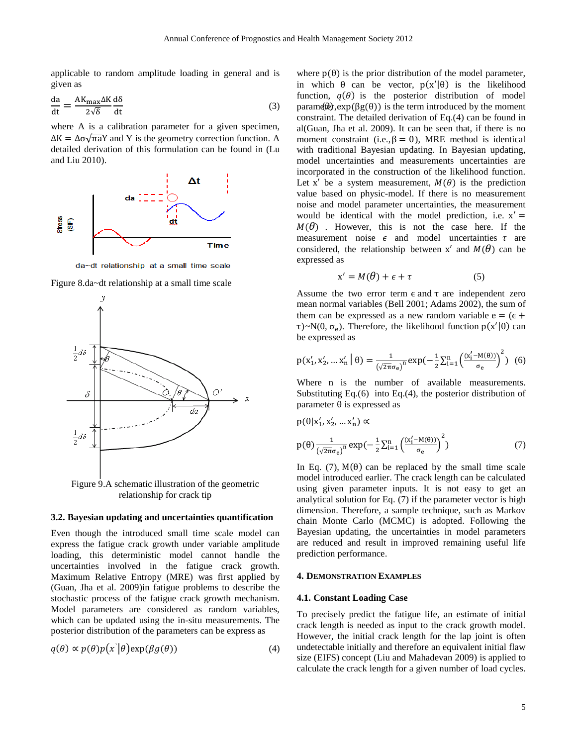applicable to random amplitude loading in general and is given as

$$
\frac{da}{dt} = \frac{AK_{\text{max}}\Delta K}{2\sqrt{\delta}}\frac{d\delta}{dt}
$$
\n(3) param(10),

where A is a calibration parameter for a given specimen,  $\Delta K = \Delta \sigma \sqrt{\pi a} Y$  and Y is the geometry correction function. A detailed derivation of this formulation can be found in [\(Lu](#page-10-3)  [and Liu 2010\)](#page-10-3).



da~dt relationship at a small time scale





relationship for crack tip

## **3.2. Bayesian updating and uncertainties quantification**

Even though the introduced small time scale model can express the fatigue crack growth under variable amplitude loading, this deterministic model cannot handle the uncertainties involved in the fatigue crack growth. Maximum Relative Entropy (MRE) was first applied by [\(Guan, Jha et al. 2009\)](#page-9-4)in fatigue problems to describe the stochastic process of the fatigue crack growth mechanism. Model parameters are considered as random variables, which can be updated using the in-situ measurements. The posterior distribution of the parameters can be express as

$$
q(\theta) \propto p(\theta)p(x|\theta) \exp(\beta g(\theta))
$$
\n(4)

where  $p(\theta)$  is the prior distribution of the model parameter, in which  $\theta$  can be vector,  $p(x'|\theta)$  is the likelihood function,  $q(\theta)$  is the posterior distribution of model parametries( $\beta$ g( $\theta$ )) is the term introduced by the moment constraint. The detailed derivation of Eq.(4) can be found in al[\(Guan, Jha et al. 2009\)](#page-9-4). It can be seen that, if there is no moment constraint (i.e.,  $\beta = 0$ ), MRE method is identical with traditional Bayesian updating. In Bayesian updating, model uncertainties and measurements uncertainties are incorporated in the construction of the likelihood function. Let x' be a system measurement,  $M(\theta)$  is the prediction value based on physic-model. If there is no measurement noise and model parameter uncertainties, the measurement would be identical with the model prediction, i.e. x'  $M(\theta)$ . However, this is not the case here. If the measurement noise  $\epsilon$  and model uncertainties  $\tau$  are considered, the relationship between x' and  $M(\theta)$  can be expressed as

$$
x' = M(\theta) + \epsilon + \tau \tag{5}
$$

Assume the two error term  $\epsilon$  and  $\tau$  are independent zero mean normal variables (Bell 2001; Adams 2002), the sum of them can be expressed as a new random variable  $e = (e +$  $\tau$ )~N(0,  $\sigma_e$ ). Therefore, the likelihood function  $p(x'|\theta)$  can be expressed as

$$
p(x'_1, x'_2, \dots x'_n \mid \theta) = \frac{1}{(\sqrt{2\pi}\sigma_e)^n} \exp\left(-\frac{1}{2} \sum_{i=1}^n \left(\frac{(x'_i - M(\theta))}{\sigma_e}\right)^2\right) (6)
$$

Where n is the number of available measurements. Substituting Eq.(6) into Eq.(4), the posterior distribution of parameter  $\theta$  is expressed as

$$
p(\theta | x'_1, x'_2, \dots x'_n) \propto
$$
  
\n
$$
p(\theta) \frac{1}{(\sqrt{2\pi}\sigma_e)^n} \exp\left(-\frac{1}{2} \sum_{i=1}^n \left(\frac{(x'_i - M(\theta))}{\sigma_e}\right)^2\right)
$$
 (7)

In Eq. (7),  $M(\theta)$  can be replaced by the small time scale model introduced earlier. The crack length can be calculated using given parameter inputs. It is not easy to get an analytical solution for Eq. (7) if the parameter vector is high dimension. Therefore, a sample technique, such as Markov chain Monte Carlo (MCMC) is adopted. Following the Bayesian updating, the uncertainties in model parameters are reduced and result in improved remaining useful life prediction performance.

#### **4. DEMONSTRATION EXAMPLES**

#### **4.1. Constant Loading Case**

To precisely predict the fatigue life, an estimate of initial crack length is needed as input to the crack growth model. However, the initial crack length for the lap joint is often undetectable initially and therefore an equivalent initial flaw size (EIFS) concept [\(Liu and Mahadevan 2009\)](#page-10-10) is applied to calculate the crack length for a given number of load cycles.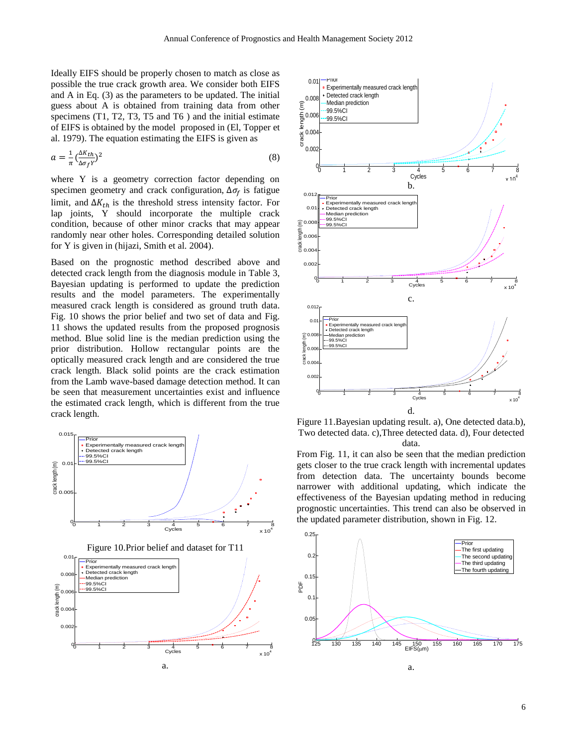Ideally EIFS should be properly chosen to match as close as possible the true crack growth area. We consider both EIFS and A in Eq. (3) as the parameters to be updated. The initial guess about A is obtained from training data from other specimens (T1, T2, T3, T5 and T6) and the initial estimate of EIFS is obtained by the model proposed in [\(El, Topper et](#page-9-5)  [al. 1979\)](#page-9-5). The equation estimating the EIFS is given as

$$
a = \frac{1}{\pi} \left( \frac{\Delta K t h}{\Delta \sigma_f Y} \right)^2 \tag{8}
$$

where Y is a geometry correction factor depending on specimen geometry and crack configuration,  $\Delta \sigma_f$  is fatigue limit, and  $\Delta K_{th}$  is the threshold stress intensity factor. For lap joints, Y should incorporate the multiple crack condition, because of other minor cracks that may appear randomly near other holes. Corresponding detailed solution for Y is given in [\(hijazi, Smith et al. 2004\)](#page-9-6).

Based on the prognostic method described above and detected crack length from the diagnosis module in Table 3, Bayesian updating is performed to update the prediction results and the model parameters. The experimentally measured crack length is considered as ground truth data. Fig. 10 shows the prior belief and two set of data and Fig. 11 shows the updated results from the proposed prognosis method. Blue solid line is the median prediction using the prior distribution. Hollow rectangular points are the optically measured crack length and are considered the true crack length. Black solid points are the crack estimation from the Lamb wave-based damage detection method. It can be seen that measurement uncertainties exist and influence the estimated crack length, which is different from the true crack length.





Figure 11.Bayesian updating result. a), One detected data.b), Two detected data. c),Three detected data. d), Four detected data.

From Fig. 11, it can also be seen that the median prediction gets closer to the true crack length with incremental updates from detection data. The uncertainty bounds become narrower with additional updating, which indicate the effectiveness of the Bayesian updating method in reducing prognostic uncertainties. This trend can also be observed in the updated parameter distribution, shown in Fig. 12.

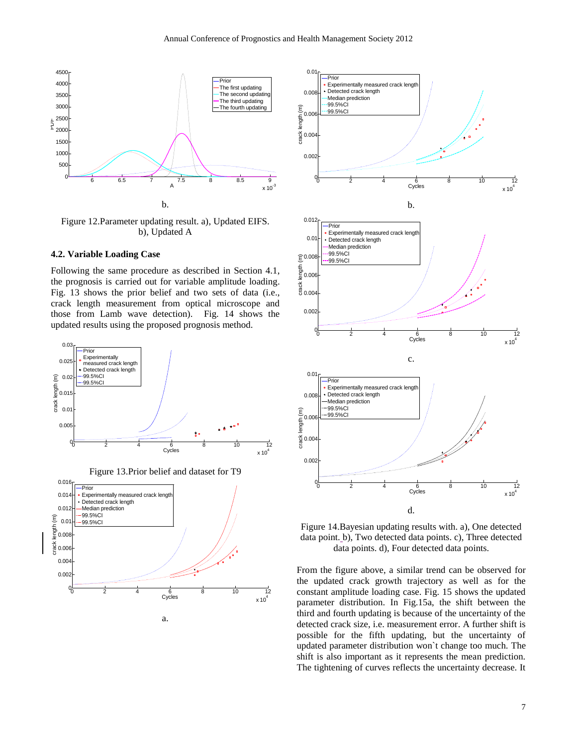

Figure 12.Parameter updating result. a), Updated EIFS. b), Updated A

## **4.2. Variable Loading Case**

Following the same procedure as described in Section 4.1, the prognosis is carried out for variable amplitude loading. Fig. 13 shows the prior belief and two sets of data (i.e., crack length measurement from optical microscope and those from Lamb wave detection). Fig. 14 shows the updated results using the proposed prognosis method.



Figure 13.Prior belief and dataset for T9





Figure 14.Bayesian updating results with. a), One detected data point. b), Two detected data points. c), Three detected data points. d), Four detected data points.

From the figure above, a similar trend can be observed for the updated crack growth trajectory as well as for the constant amplitude loading case. Fig. 15 shows the updated parameter distribution. In Fig.15a, the shift between the third and fourth updating is because of the uncertainty of the detected crack size, i.e. measurement error. A further shift is possible for the fifth updating, but the uncertainty of updated parameter distribution won`t change too much. The shift is also important as it represents the mean prediction. The tightening of curves reflects the uncertainty decrease. It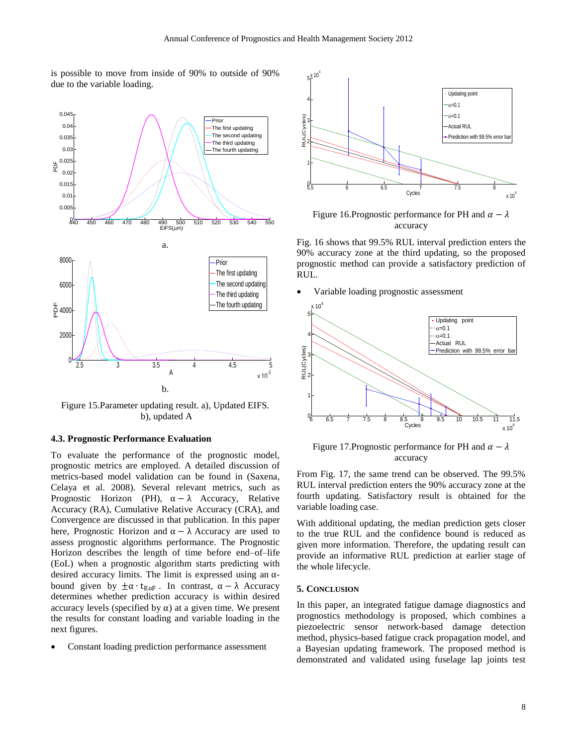is possible to move from inside of 90% to outside of 90% due to the variable loading.



Figure 15.Parameter updating result. a), Updated EIFS. b), updated A

#### **4.3. Prognostic Performance Evaluation**

To evaluate the performance of the prognostic model, prognostic metrics are employed. A detailed discussion of metrics-based model validation can be found in [\(Saxena,](#page-10-11)  [Celaya et al. 2008\)](#page-10-11). Several relevant metrics, such as Prognostic Horizon (PH),  $\alpha - \lambda$  Accuracy, Relative Accuracy (RA), Cumulative Relative Accuracy (CRA), and Convergence are discussed in that publication. In this paper here, Prognostic Horizon and  $\alpha - \lambda$  Accuracy are used to assess prognostic algorithms performance. The Prognostic Horizon describes the length of time before end–of–life (EoL) when a prognostic algorithm starts predicting with desired accuracy limits. The limit is expressed using an  $\alpha$ bound given by  $\pm \alpha \cdot t_{EoF}$ . In contrast,  $\alpha - \lambda$  Accuracy determines whether prediction accuracy is within desired accuracy levels (specified by  $\alpha$ ) at a given time. We present the results for constant loading and variable loading in the next figures.

Constant loading prediction performance assessment



Figure 16.Prognostic performance for PH and  $\alpha - \lambda$ accuracy

Fig. 16 shows that 99.5% RUL interval prediction enters the 90% accuracy zone at the third updating, so the proposed prognostic method can provide a satisfactory prediction of RUL.

Variable loading prognostic assessment



Figure 17. Prognostic performance for PH and  $\alpha - \lambda$ accuracy

From Fig. 17, the same trend can be observed. The 99.5% RUL interval prediction enters the 90% accuracy zone at the fourth updating. Satisfactory result is obtained for the variable loading case.

With additional updating, the median prediction gets closer to the true RUL and the confidence bound is reduced as given more information. Therefore, the updating result can provide an informative RUL prediction at earlier stage of the whole lifecycle.

#### **5. CONCLUSION**

In this paper, an integrated fatigue damage diagnostics and prognostics methodology is proposed, which combines a piezoelectric sensor network-based damage detection method, physics-based fatigue crack propagation model, and a Bayesian updating framework. The proposed method is demonstrated and validated using fuselage lap joints test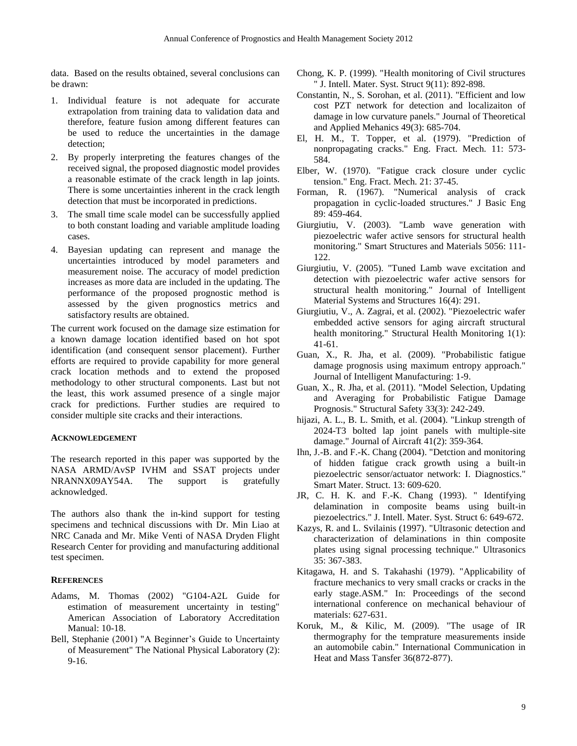data. Based on the results obtained, several conclusions can be drawn:

- 1. Individual feature is not adequate for accurate extrapolation from training data to validation data and therefore, feature fusion among different features can be used to reduce the uncertainties in the damage detection;
- 2. By properly interpreting the features changes of the received signal, the proposed diagnostic model provides a reasonable estimate of the crack length in lap joints. There is some uncertainties inherent in the crack length detection that must be incorporated in predictions.
- 3. The small time scale model can be successfully applied to both constant loading and variable amplitude loading cases.
- 4. Bayesian updating can represent and manage the uncertainties introduced by model parameters and measurement noise. The accuracy of model prediction increases as more data are included in the updating. The performance of the proposed prognostic method is assessed by the given prognostics metrics and satisfactory results are obtained.

The current work focused on the damage size estimation for a known damage location identified based on hot spot identification (and consequent sensor placement). Further efforts are required to provide capability for more general crack location methods and to extend the proposed methodology to other structural components. Last but not the least, this work assumed presence of a single major crack for predictions. Further studies are required to consider multiple site cracks and their interactions.

## **ACKNOWLEDGEMENT**

The research reported in this paper was supported by the NASA ARMD/AvSP IVHM and SSAT projects under NRANNX09AY54A. The support is gratefully acknowledged.

The authors also thank the in-kind support for testing specimens and technical discussions with Dr. Min Liao at NRC Canada and Mr. Mike Venti of NASA Dryden Flight Research Center for providing and manufacturing additional test specimen.

# **REFERENCES**

- Adams, M. Thomas (2002) "G104-A2L Guide for estimation of measurement uncertainty in testing" American Association of Laboratory Accreditation Manual: 10-18.
- Bell, Stephanie (2001) "A Beginner's Guide to Uncertainty of Measurement" The National Physical Laboratory (2): 9-16.
- Chong, K. P. (1999). "Health monitoring of Civil structures " J. Intell. Mater. Syst. Struct 9(11): 892-898.
- Constantin, N., S. Sorohan, et al. (2011). "Efficient and low cost PZT network for detection and localizaiton of damage in low curvature panels." Journal of Theoretical and Applied Mehanics 49(3): 685-704.
- <span id="page-9-5"></span>El, H. M., T. Topper, et al. (1979). "Prediction of nonpropagating cracks." Eng. Fract. Mech. 11: 573- 584.
- <span id="page-9-2"></span>Elber, W. (1970). "Fatigue crack closure under cyclic tension." Eng. Fract. Mech. 21: 37-45.
- <span id="page-9-0"></span>Forman, R. (1967). "Numerical analysis of crack propagation in cyclic-loaded structures." J Basic Eng 89: 459-464.
- Giurgiutiu, V. (2003). "Lamb wave generation with piezoelectric wafer active sensors for structural health monitoring." Smart Structures and Materials 5056: 111- 122.
- Giurgiutiu, V. (2005). "Tuned Lamb wave excitation and detection with piezoelectric wafer active sensors for structural health monitoring." Journal of Intelligent Material Systems and Structures 16(4): 291.
- Giurgiutiu, V., A. Zagrai, et al. (2002). "Piezoelectric wafer embedded active sensors for aging aircraft structural health monitoring." Structural Health Monitoring 1(1): 41-61.
- <span id="page-9-4"></span>Guan, X., R. Jha, et al. (2009). "Probabilistic fatigue damage prognosis using maximum entropy approach." Journal of Intelligent Manufacturing: 1-9.
- <span id="page-9-3"></span>Guan, X., R. Jha, et al. (2011). "Model Selection, Updating and Averaging for Probabilistic Fatigue Damage Prognosis." Structural Safety 33(3): 242-249.
- <span id="page-9-6"></span>hijazi, A. L., B. L. Smith, et al. (2004). "Linkup strength of 2024-T3 bolted lap joint panels with multiple-site damage." Journal of Aircraft 41(2): 359-364.
- Ihn, J.-B. and F.-K. Chang (2004). "Detction and monitoring of hidden fatigue crack growth using a built-in piezoelectric sensor/actuator network: I. Diagnostics." Smart Mater. Struct. 13: 609-620.
- JR, C. H. K. and F.-K. Chang (1993). "Identifying delamination in composite beams using built-in piezoelectrics." J. Intell. Mater. Syst. Struct 6: 649-672.
- Kazys, R. and L. Svilainis (1997). "Ultrasonic detection and characterization of delaminations in thin composite plates using signal processing technique." Ultrasonics 35: 367-383.
- <span id="page-9-1"></span>Kitagawa, H. and S. Takahashi (1979). "Applicability of fracture mechanics to very small cracks or cracks in the early stage.ASM." In: Proceedings of the second international conference on mechanical behaviour of materials: 627-631.
- Koruk, M., & Kilic, M. (2009). "The usage of IR thermography for the temprature measurements inside an automobile cabin." International Communication in Heat and Mass Tansfer 36(872-877).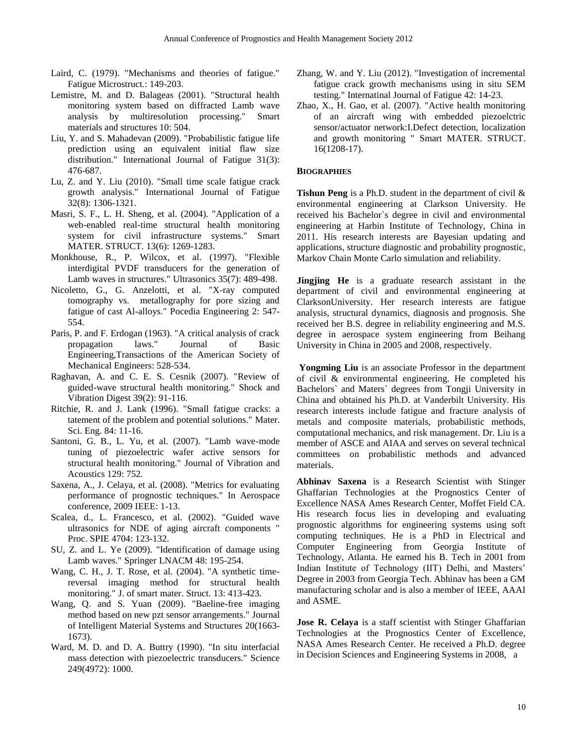- <span id="page-10-1"></span>Laird, C. (1979). "Mechanisms and theories of fatigue." Fatigue Microstruct.: 149-203.
- Lemistre, M. and D. Balageas (2001). "Structural health monitoring system based on diffracted Lamb wave analysis by multiresolution processing." Smart materials and structures 10: 504.
- <span id="page-10-10"></span>Liu, Y. and S. Mahadevan (2009). "Probabilistic fatigue life prediction using an equivalent initial flaw size distribution." International Journal of Fatigue 31(3): 476-687.
- <span id="page-10-3"></span>Lu, Z. and Y. Liu (2010). "Small time scale fatigue crack growth analysis." International Journal of Fatigue 32(8): 1306-1321.
- <span id="page-10-8"></span>Masri, S. F., L. H. Sheng, et al. (2004). "Application of a web-enabled real-time structural health monitoring system for civil infrastructure systems." Smart MATER. STRUCT. 13(6): 1269-1283.
- Monkhouse, R., P. Wilcox, et al. (1997). "Flexible interdigital PVDF transducers for the generation of Lamb waves in structures." Ultrasonics 35(7): 489-498.
- Nicoletto, G., G. Anzelotti, et al. "X-ray computed tomography vs. metallography for pore sizing and fatigue of cast Al-alloys." Pocedia Engineering 2: 547- 554.
- <span id="page-10-0"></span>Paris, P. and F. Erdogan (1963). "A critical analysis of crack propagation laws." Journal of Basic Engineering,Transactions of the American Society of Mechanical Engineers: 528-534.
- <span id="page-10-4"></span>Raghavan, A. and C. E. S. Cesnik (2007). "Review of guided-wave structural health monitoring." Shock and Vibration Digest 39(2): 91-116.
- <span id="page-10-2"></span>Ritchie, R. and J. Lank (1996). "Small fatigue cracks: a tatement of the problem and potential solutions." Mater. Sci. Eng. 84: 11-16.
- Santoni, G. B., L. Yu, et al. (2007). "Lamb wave-mode tuning of piezoelectric wafer active sensors for structural health monitoring." Journal of Vibration and Acoustics 129: 752.
- <span id="page-10-11"></span>Saxena, A., J. Celaya, et al. (2008). "Metrics for evaluating performance of prognostic techniques." In Aerospace conference, 2009 IEEE: 1-13.
- Scalea, d., L. Francesco, et al. (2002). "Guided wave ultrasonics for NDE of aging aircraft components " Proc. SPIE 4704: 123-132.
- <span id="page-10-6"></span>SU, Z. and L. Ye (2009). "Identification of damage using Lamb waves." Springer LNACM 48: 195-254.
- Wang, C. H., J. T. Rose, et al. (2004). "A synthetic timereversal imaging method for structural health monitoring." J. of smart mater. Struct. 13: 413-423.
- <span id="page-10-7"></span>Wang, Q. and S. Yuan (2009). "Baeline-free imaging method based on new pzt sensor arrangements." Journal of Intelligent Material Systems and Structures 20(1663- 1673).
- Ward, M. D. and D. A. Buttry (1990). "In situ interfacial mass detection with piezoelectric transducers." Science 249(4972): 1000.
- <span id="page-10-9"></span>Zhang, W. and Y. Liu (2012). "Investigation of incremental fatigue crack growth mechanisms using in situ SEM testing." Internatinal Journal of Fatigue 42: 14-23.
- <span id="page-10-5"></span>Zhao, X., H. Gao, et al. (2007). "Active health monitoring of an aircraft wing with embedded piezoelctric sensor/actuator network:I.Defect detection, localization and growth monitoring " Smart MATER. STRUCT. 16(1208-17).

# **BIOGRAPHIES**

**Tishun Peng** is a Ph.D. student in the department of civil & environmental engineering at Clarkson University. He received his Bachelor`s degree in civil and environmental engineering at Harbin Institute of Technology, China in 2011. His research interests are Bayesian updating and applications, structure diagnostic and probability prognostic, Markov Chain Monte Carlo simulation and reliability.

**Jingjing He** is a graduate research assistant in the department of civil and environmental engineering at ClarksonUniversity. Her research interests are fatigue analysis, structural dynamics, diagnosis and prognosis. She received her B.S. degree in reliability engineering and M.S. degree in aerospace system engineering from Beihang University in China in 2005 and 2008, respectively.

**Yongming Liu** is an associate Professor in the department of civil & environmental engineering. He completed his Bachelors` and Maters` degrees from Tongji University in China and obtained his Ph.D. at Vanderbilt University. His research interests include fatigue and fracture analysis of metals and composite materials, probabilistic methods, computational mechanics, and risk management. Dr. Liu is a member of ASCE and AIAA and serves on several technical committees on probabilistic methods and advanced materials.

**Abhinav Saxena** is a Research Scientist with Stinger Ghaffarian Technologies at the Prognostics Center of Excellence NASA Ames Research Center, Moffet Field CA. His research focus lies in developing and evaluating prognostic algorithms for engineering systems using soft computing techniques. He is a PhD in Electrical and Computer Engineering from Georgia Institute of Technology, Atlanta. He earned his B. Tech in 2001 from Indian Institute of Technology (IIT) Delhi, and Masters' Degree in 2003 from Georgia Tech. Abhinav has been a GM manufacturing scholar and is also a member of IEEE, AAAI and ASME.

**Jose R. Celaya** is a staff scientist with Stinger Ghaffarian Technologies at the Prognostics Center of Excellence, NASA Ames Research Center. He received a Ph.D. degree in Decision Sciences and Engineering Systems in 2008, a